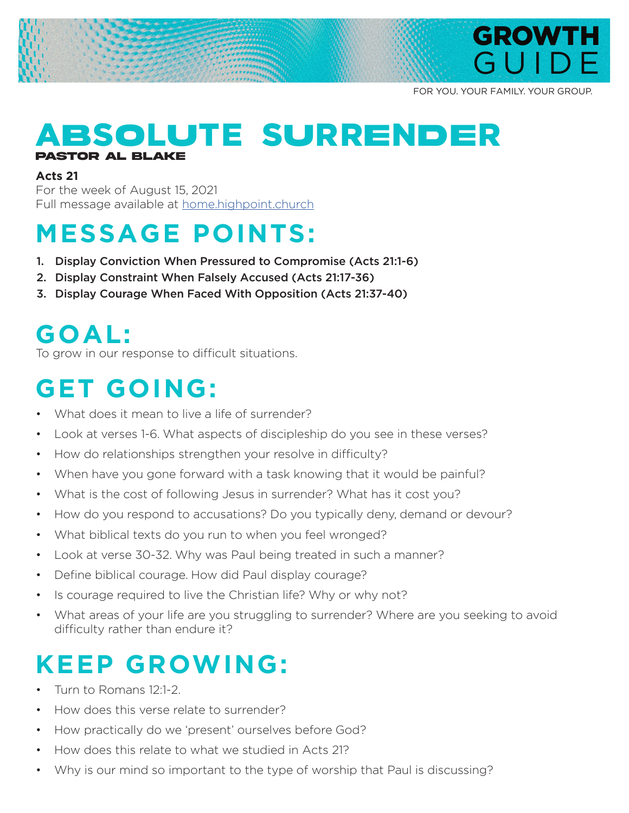

FOR YOU. YOUR FAMILY. YOUR GROUP.

#### A**B**S**O**L**U**TE S**U**RR**E**N**DE**R **Pastor Al Blake**

#### **Acts 21**

For the week of August 15, 2021 Full message available at home.highpoint.church

## **MESSAGE POINTS:**

- 1. Display Conviction When Pressured to Compromise (Acts 21:1-6)
- 2. Display Constraint When Falsely Accused (Acts 21:17-36)
- 3. Display Courage When Faced With Opposition (Acts 21:37-40)

#### **GOAL:**

To grow in our response to difficult situations.

### **GET GOING:**

- What does it mean to live a life of surrender?
- Look at verses 1-6. What aspects of discipleship do you see in these verses?
- How do relationships strengthen your resolve in difficulty?
- When have you gone forward with a task knowing that it would be painful?
- What is the cost of following Jesus in surrender? What has it cost you?
- How do you respond to accusations? Do you typically deny, demand or devour?
- What biblical texts do you run to when you feel wronged?
- Look at verse 30-32. Why was Paul being treated in such a manner?
- Define biblical courage. How did Paul display courage?
- Is courage required to live the Christian life? Why or why not?
- What areas of your life are you struggling to surrender? Where are you seeking to avoid difficulty rather than endure it?

### **KEEP GROWING:**

- Turn to Romans 12:1-2.
- How does this verse relate to surrender?
- How practically do we 'present' ourselves before God?
- How does this relate to what we studied in Acts 21?
- Why is our mind so important to the type of worship that Paul is discussing?